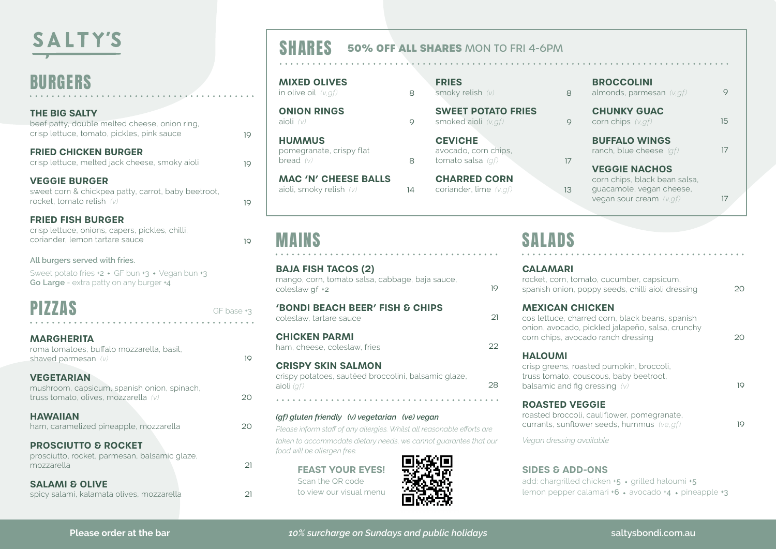# **SALTY'S**

### BURGERS

| <b>THE BIG SALTY</b><br>beef patty, double melted cheese, onion ring.<br>crisp lettuce, tomato, pickles, pink sauce           | 10         |
|-------------------------------------------------------------------------------------------------------------------------------|------------|
| <b>FRIED CHICKEN BURGER</b><br>crisp lettuce, melted jack cheese, smoky aioli                                                 | 19         |
| <b>VEGGIE BURGER</b><br>sweet corn & chickpea patty, carrot, baby beetroot,<br>rocket, tomato relish (v)                      | 19         |
| <b>FRIED FISH BURGER</b><br>crisp lettuce, onions, capers, pickles, chilli,<br>coriander, lemon tartare sauce                 | 19         |
| All burgers served with fries.<br>Sweet potato fries +2 · GF bun +3 · Vegan bun +3<br>Go Large - extra patty on any burger +4 |            |
| <b>PIZZAS</b>                                                                                                                 | GF base +3 |
| <b>MARGHERITA</b><br>roma tomatoes, buffalo mozzarella, basil,<br>shaved parmesan (v)                                         | 10         |
| <b>VEGETARIAN</b><br>mushroom, capsicum, spanish onion, spinach,<br>truss tomato, olives, mozzarella (v)                      | 20         |
| <b>HAWAIIAN</b><br>ham, caramelized pineapple, mozzarella                                                                     | 20         |

**PROSCIUTTO & ROCKET**  prosciutto, rocket, parmesan, balsamic glaze, mozzarella

**SALAMI & OLIVE**  spicy salami, kalamata olives, mozzarella

### SHARES **50% OFF ALL SHARES** MON TO FRI 4-6PM

8

8

14

**MIXED OLIVES**  in olive oil *(v,gf)*

**ONION RINGS**  aioli *(v)*

**HUMMUS**  pomegranate, crispy flat bread *(v)*

**MAC 'N' CHEESE BALLS** aioli, smoky relish *(v)*

### MAINS

 $21$ 

 $21$ 

**BAJA FISH TACOS (2)** mango, corn, tomato salsa, cabbage, baja sauce, coleslaw gf +2 **'BONDI BEACH BEER' FISH & CHIPS** coleslaw, tartare sauce **CHICKEN PARMI** ham, cheese, coleslaw, fries **CRISPY SKIN SALMON**  crispy potatoes, sautéed broccolini, balsamic glaze, aioli *(gf)*

#### *(gf) gluten friendly (v) vegetarian (ve) vegan*

*Please inform staff of any allergies. Whilst all reasonable efforts are taken to accommodate dietary needs, we cannot guarantee that our food will be allergen free.*

> **FEAST YOUR EYES!** Scan the QR code to view our visual menu



| <b>FRIES</b>     |  |
|------------------|--|
| smoky relish (v) |  |

**SWEET POTATO FRIES** smoked aioli *(v,gf)*  $\circ$ 

> **CEVICHE** avocado, corn chips, tomato salsa *(gf)*

**CHARRED CORN**  coriander, lime *(v,gf)*

19

 $21$ 

 $22$ 

28

#### **BROCCOLINI**

almonds, parmesan *(v,gf)*

**CHUNKY GUAC**  $\circ$ 

8

17

13

corn chips *(v,gf)*

**BUFFALO WINGS** ranch, blue cheese *(gf)*

**VEGGIE NACHOS** corn chips, black bean salsa, guacamole, vegan cheese, vegan sour cream *(v,gf)*

17

 $\circ$ 

15

17

19

19

## SALADS

### **CALAMARI**

| rocket, corn, tomato, cucumber, capsicum,<br>spanish onion, poppy seeds, chilli aioli dressing                                                                      | つの |
|---------------------------------------------------------------------------------------------------------------------------------------------------------------------|----|
| <b>MEXICAN CHICKEN</b><br>cos lettuce, charred corn, black beans, spanish<br>onion, avocado, pickled jalapeño, salsa, crunchy<br>corn chips, avocado ranch dressing | 20 |
| <b>HALOUMI</b><br>crisp greens, roasted pumpkin, broccoli,                                                                                                          |    |

truss tomato, couscous, baby beetroot, balsamic and fig dressing *(v)*

### **ROASTED VEGGIE**

roasted broccoli, cauliflower, pomegranate, currants, sunflower seeds, hummus *(ve,gf)*

*Vegan dressing available*

### **SIDES & ADD-ONS**

add: chargrilled chicken +5 · grilled haloumi +5 lemon pepper calamari  $+6 \cdot$  avocado  $+4 \cdot$  pineapple  $+3$ 

*10% surcharge on Sundays and public holidays* **Please order at the bar saltysbondi.com.au**